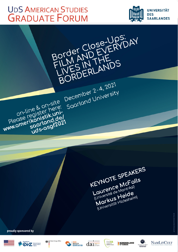# **UDS AMERICAN STUDIES GRADUATE FORUM**

on-line & on-site

soorland.del

Please register here:

www.amerikanistik.uni-



KEYNOTE SPEAKERS Laurence McFalls Université de Montréal Markus Heide (Universität Hildesheim)

proudly sponsored by











BORDERLANDS

December 2-4, 2021

Saarland University



**BORDERLAND** 



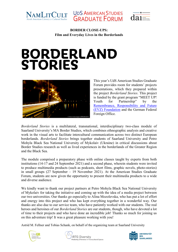





# **BORDERLAND STORIES**



This year's UdS American Studies Graduate Forum provides room for students' projects presentations, which they prepared within the project *Borderland Stories*. This project is funded by the grant program "MEET UP! Youth for Partnership" by the [Remembrance, Responsibility and Future](https://www.stiftung-evz.de/eng/home.html)  [\(EVZ\) Foundation](https://www.stiftung-evz.de/eng/home.html) and the German Federal Foreign Office.

*Borderland Stories* is a multilateral, transnational, interdisciplinary two-class module of Saarland University's MA Border Studies, which combines ethnographic analysis and creative work in the visual arts to facilitate intercultural communication across two distinct European borderlands. *Borderland Stories* brings together students of Saarland University and Petro Mohyla Black Sea National University of Mykolaiv (Ukraine) in critical discussions about Border Studies research as well as lived experiences in the borderlands of the Greater Region and the Black Sea.

The module comprised a preparatory phase with online classes taught by experts from both institutions (14-17 and 24 September 2021) and a second phase, wherein students were invited to produce multimedia products (such as podcasts, short films, graphic novels, photo-stories) in small groups (27 September – 19 November 2021). At the American Studies Graduate Forum, students are now given the opportunity to present their multimedia products to a wide and diverse audience.

We kindly want to thank our project partners at Petro Mohyla Black Sea National University of Mykolaiv for taking the initiative and coming up with the idea of a media project between our two universities. Our thanks go especially to Alina Mozolevska, who has put a lot of effort and energy into this project and who has kept everything together in a wonderful way. Our thanks are also due to our service team, who have patiently worked with our students. The real heroes and heroines of our *Borderland Stories* are our students, though, who have devoted a lot of time to their projects and who have done an incredible job! Thanks so much for joining us on this adventure trip! It was a great pleasure working with you!

Astrid M. Fellner and Tobias Schank, on behalf of the organizing team at Saarland University





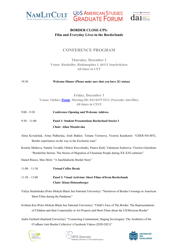



UDS AMERICAN STUDIES<br>GRADUATE FORUM

# **CONFERENCE PROGRAM**

**Thursday, December 2 Venue: Ratskeller, Rathausplatz 1, 66111 Saarbrücken All times in CET**

#### 19:30 **Welcome Dinner (Please make sure that you have 2G status)**

**Friday, December 3 Venue: Online [\(Zoom,](https://us06web.zoom.us/j/81404759213?pwd=RzV6eUFlK0hnRjdMQWZKL0ZMVFpiZz09) Meeting-ID: 814 0475 9213, Passcode: 6mvHhc) All times in CEST**

9:00 – 9:30 **Conference Opening and Welcome Address** 9:30 – 11:00 **Panel 1: Student Presentations Borderland Stories I**

#### **Chair: Alina Mozolevska**

- Alina Kovalchuk, Arina Pidhurska, Jordi Bakker, Tetiana Voronova, Victoria Karakatsii: "CHER-NO-BYL. Border experiences on the way to the Exclusion zone"
- Kseniia Markova, Natalia Tsviakh, Oleksii Kravchenko, Panice Kehl, Valentyna Sydorova, Victoria Galynkina: "Borderline Stories: The Stories of Migration of Ukrainian People during XX-XXI centuries"

Daniel Riesco, Max Molz: "A Saarländische Border Story"

- 11:00 11:30 **Virtual Coffee Break** 11:30 – 13:00 **Panel 2: Visual Activism: Short Films of/from Borderlands Chair: Klaus Heissenberger**
- Yuliya Stodolinska (Petro Mohyla Black Sea National University): "Narratives of Border Crossings in American Short Films during the Pandemic"

Svitlana Kot (Petro Mohyla Black Sea National University): "Child's Face of The Border: The Representations of Children and their Corporeality in Art Projects and Short Films about the US/Mexican Border"

Atalie Gerhard (Saarland University): "Connecting Containment, Staging Sovereignty: The Aesthetics of the O'odham Anti-Border Collective's Facebook Videos (2020-2021)"





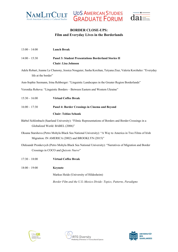



UDS AMERICAN STUDIES<br>GRADUATE FORUM

| $13:00 - 14:00$                                                                                                                                             | <b>Lunch Break</b>                                                                                          |  |
|-------------------------------------------------------------------------------------------------------------------------------------------------------------|-------------------------------------------------------------------------------------------------------------|--|
| $14:00 - 15:30$                                                                                                                                             | <b>Panel 3: Student Presentations Borderland Stories II</b><br><b>Chair: Lisa Johnson</b>                   |  |
| life at the border"                                                                                                                                         | Adele Robart, Jeanne Le Chanony, Jessica Nouguier, Sasha Korzhan, Tetyana Ziuz, Valeria Korzheko: "Everyday |  |
|                                                                                                                                                             | Ann-Sophie Seemann, Irina Rehberger: "Linguistic Landscapes in the Greater Region Borderlands"              |  |
| Veronika Rohova: "Linguistic Borders - Between Eastern and Western Ukraine"                                                                                 |                                                                                                             |  |
| $15:30 - 16:00$                                                                                                                                             | <b>Virtual Coffee Break</b>                                                                                 |  |
| $16:00 - 17:30$                                                                                                                                             | Panel 4: Border Crossings in Cinema and Beyond                                                              |  |
|                                                                                                                                                             | <b>Chair: Tobias Schank</b>                                                                                 |  |
| Bärbel Schlimbach (Saarland University): "Filmic Representations of Borders and Border Crossings in a<br>Globalized World: BABEL (2006)"                    |                                                                                                             |  |
| Oksana Starshova (Petro Mohyla Black Sea National University): "A Way to America in Two Films of Irish<br>Migration: IN AMERICA (2002) and BROOKLYN (2015)" |                                                                                                             |  |
| Oleksandr Pronkevych (Petro Mohyla Black Sea National University): "Narratives of Migration and Border<br>Crossings in COCO and Quixote Nuevo"              |                                                                                                             |  |
| $17:30 - 18:00$                                                                                                                                             | <b>Virtual Coffee Break</b>                                                                                 |  |
| $18:00 - 19:00$                                                                                                                                             | Keynote                                                                                                     |  |
|                                                                                                                                                             | Markus Heide (University of Hildesheim)                                                                     |  |
|                                                                                                                                                             | Border Film and the U.S.-Mexico Divide: Topics, Patterns, Paradigms                                         |  |





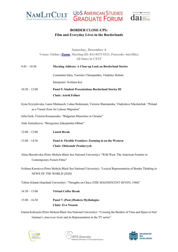





#### **Saturday, December 4 Venue: Online [\(Zoom,](https://us06web.zoom.us/j/81404759213?pwd=RzV6eUFlK0hnRjdMQWZKL0ZMVFpiZz09) Meeting-ID: 814 0475 9213, Passcode: 6mvHhc) All times in CEST**

| $9:45 - 10:30$  | <b>Morning Address: A Close-up Look on Borderland Stories</b>                                            |
|-----------------|----------------------------------------------------------------------------------------------------------|
|                 | Constantin Iskra, Yaroslav Cherepushko, Vladislav Robski                                                 |
|                 | Interpreter: Svitlana Kot                                                                                |
| $10:30 - 12:00$ | <b>Panel 5: Student Presentations Borderland Stories III</b>                                             |
|                 | <b>Chair: Astrid Fellner</b>                                                                             |
|                 | Iryna Svyrydovska, Laura Mattausch, Lukas Redemann, Victoria Sharmanska, Vladyslava Nikolaichuk: "Poland |
|                 | as a Transit Zone for Labour Migration"                                                                  |

Julia Grek, Victoria Kramarenko: "Bulgarian Minorities in Ukraine"

Aida Amiraliyeva: "Beregszász Zakarpatska Oblast"

- 12:00 13:00 **Lunch Break**
- 13:00 14:30 **Panel 6: Flexible Frontiers: Zooming in on the Western Chair: Oleksandr Pronkevych**
- Alina Mozolevska (Petro Mohyla Black Sea National University): "Wild West: The American Frontier in Contemporary French Films"

Svitlana Kornieva (Petro Mohyla Black Sea National University): "Lexical Representation of Border Thinking in NEWS OF THE WORLD (2020)

Tobias Schank (Saarland University): "Thoughts on Chico (THE MAGNIFICENT SEVEN, 1960)"

14:30 – 15:00 **Virtual Coffee Break** 15:00 – 16:30 **Panel 7: (Post-)Modern Mythologies**

**Chair: Eva Nossem**

Ganna Kolesnyk (Petro Mohyla Black Sea National University): "Crossing the Borders of Time and Space in Neil Gaiman's *American Gods* and its Representation in the TV series"





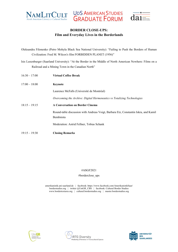



**UDS AMERICAN STUDIES**<br>**GRADUATE FORUM** 

Oleksandra Filonenko (Petro Mohyla Black Sea National University): "Failing to Push the Borders of Human Civilization: Fred M. Wilcox's film FORBIDDEN PLANET (1956)"

Isis Luxenburger (Saarland University): "At the Border in the Middle of North American Nowhere: Films on a Railroad and a Mining Town in the Canadian North"

| $16:30 - 17:00$ | <b>Virtual Coffee Break</b>                                                         |
|-----------------|-------------------------------------------------------------------------------------|
| $17:00 - 18:00$ | Keynote                                                                             |
|                 | Laurence McFalls (Université de Montréal)                                           |
|                 | Overcoming the Archive: Digital Hermeneutics vs Totalizing Technologies             |
| $18:15 - 19:15$ | <b>A Conversation on Border Cinema</b>                                              |
|                 | Round-table discussion with Andreas Voigt, Barbara Etz, Constantin Iskra, and Kamil |
|                 | Bembnista                                                                           |
|                 | Moderation: Astrid Fellner, Tobias Schank                                           |
| $19:15 - 19:30$ | <b>Closing Remarks</b>                                                              |

#### #ASGF2021

#### #borderclose\_ups

amerikanistik.uni-saarland.de | facebook: https://www.facebook.com/AmerikanistikSaar/  $\begin{tabular}{c} border studies.org & + witter @UniGR_CB-S & 4  
i & 5  
i & 5  
i & 6  
i & 7  
ii & 7  
ii & 8  
i & 7  
ii & 8  
i & 8  
ii & 8  
ii & 8  
iii & 8  
iii & 8  
iii & 8  
iii & 8  
iv & 8  
iii & 8  
iv & 8  
iii & 8  
iv & 8  
iii & 8  
iv & 8  
iii & 8  
iv & 8  
iii & 8  
iv & 8  
iv & 8  
iv & 8  
iv & 8  
iv & 8  
iv & 8  
iv & 8  
iv$ www.bordertextures.org | cultural.borderstudies.org | master.borderstudies.org





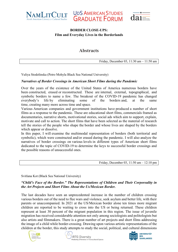





# **Abstracts**

Friday, December 03, 11:30 am – 11:50 am

Yuliya Stodolinska (Petro Mohyla Black Sea National University)

#### *Narratives of Border Crossings in American Short Films during the Pandemic*

Over the years of the existence of the United States of America numerous borders have been constructed, erased or reconstructed. These are internal, external, topographical, and symbolic borders to name a few. The breakout of the COVID-19 pandemic has changed everybody's life by eliminating some of the borders and, at the same time, creating many more across time and space.

Various American companies and government institutions have produced a number of short films as a response to the pandemic. These are educational short films, commercials framed as documentaries, narrative shorts, motivational stories, social ads which aim to support, explain, motivate and call to action. The short films that have been selected as the material of research tell the stories of the people who shape the border and whose lives are shaped by the borders which appear or dissolve.

In this paper, I will examine the multimodal representation of borders (both territorial and symbolic), which were constructed and/or erased during the pandemic. I will also analyze the narratives of border crossings on various levels in different types of American short films dedicated to the topic of COVID-19 to determine the keys to successful border crossings and the possible reasons of unsuccessful ones.

Friday, December 03, 11:50 am – 12:10 pm

Svitlana Kot (Black Sea National University)

#### *"Child's Face of the Border." The Representations of Children and Their Corporeality in the Art Projects and Short Films About the Us/Mexican Border.*

The last decades have seen an unprecedented increase in the number of children crossing various borders out of the need to flee wars and violence, seek asylum and better life, with their parents or unaccompanied. In 2021 at the US/Mexican border alone ten times more migrant children are reported to be waiting to cross into the US or being returned. These children represent at least 30 percent of the migrant population in this region. The issue of juvenile migration has received considerable attention not only among sociologists and politologists but also artists and filmmakers. There is a great number of art projects and short films addressing the image of a child while border-crossing. Drawing upon various artistic representations of the children at the border, this study attempts to study the social, political, and cultural dimensions





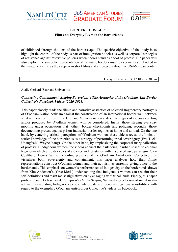



of childhood through the lens of the borderscape. The specific objective of the study is to highlight the control of the body as part of immigration policies as well as corporeal strategies of resistance against restrictive policies when bodies stand as a tool of protest. The paper will also explore the symbolic representation of traumatic border crossing experiences embodied in the image of a child as they appear in short films and art projects about the US/Mexican border.

Friday, December 03, 12:10 – 12:30 pm

Atalie Gerhard (Saarland University)

#### *Connecting Containment, Staging Sovereignty: The Aesthetics of the O'odham Anti-Border Collective's Facebook Videos (2020-2021)*

This paper closely reads the filmic and narrative aesthetics of selected fragmentary portrayals of O'odham Nation activism against the construction of an international border wall between what are now territories of the U.S. and Mexican nation states. Two types of videos depicting and/or produced by O'odham women will be considered: firstly, those staging everyday mobility under occupation that "other" border checkpoints and policing; secondly, those documenting protest against prison-industrial border regimes at home and abroad. On the one hand, by centering critical perceptions of O'odham women, these videos reveal the limits of settler knowledge of the borderlands as a strategy of performing tribal sovereignty (Eve Tuck; Unangâx/K. Wayne Yang). On the other hand, by emphasizing the corporeal marginalization of protesting Indigenous women, the videos connect their silencing in urban spaces to colonial legacies—which unfolds cycles of violence and resistance within a place-based paradigm (Glen Coulthard; Dene). While the online presence of the O'odham Anti-Border Collective thus visualizes both, sovereignty and containment, this paper analyzes how their filmic representations construct O'odham women and their activism as currently giving voice to the borderlands. This emphasis on women's performances of Indigeneity on the borderlands draws from Kim Anderson's (Cree Métis) understanding that Indigenous women can reclaim their self-definitions and resist racist stigmatization by engaging with tribal lands. Finally, this paper probes Leanne Betasamosake Simpson's (Michi Saagiig Nishnaabeg) criticism of social media activism as isolating Indigenous people while catering to non-Indigenous sensibilities with regard to the exemplary O'odham Anti-Border Collective's videos on Facebook.





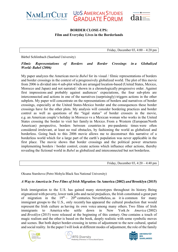





Friday, December 03, 4:00 – 4:20 pm

Bärbel Schlimbach (Saarland University)

#### *Filmic Representations of Borders and Border Crossings in a Globalized World: Babel (2006)*

My paper analyzes the American movie *Babel* for its visual / filmic representations of borders and border crossings in the context of a progressively globalized world. The plot of this movie from 2006 is divided into 4 sub-plot which are arranged location-based (United States, Mexico, Morocco and Japan) and not narrated / shown in a chronologically progressive order. Against first impressions and probably against audiences' expectations, the four sub-plots are interconnected and actions in one of the narratives (surprisingly) triggers actions in the other subplots. My paper will concentrate on the representations of borders and narratives of border crossings, especially at the United States-Mexico border and the consequences these border crossings have for the other plots. My analysis will consider bordering practices and border control as well as questions of the "legal status" of border crossers in the movie, e.g. an American couple's holiday in Morocco vs a Mexican woman who works in the United States crossing the border to visit her family in Mexico. From a Western (European/North American) perspective, borders between countries in pre-pandemic times were often considered irrelevant, at least no real obstacles, by fashioning the world as globalized and borderless. Going back to this 2006 movie allows me to deconstruct this narrative of a borderless world which for a large part of the earth's population was never applicable in the first place. The movie shows that border crossings and the political power structures implementing borders / border control, create actions which influence other actions, thereby revealing the fictional world in *Babel* as globalized and interconnected but not borderless.

Friday, December  $03, 4:20 - 4:40$  pm

Oksana Starshova (Petro Mohyla Black Sea National University)

# *A Way to America in Two Films of Irish Migration:* **In America (2002)** *and* **Brooklyn (2015)**

Irish immigration to the U.S. has gained many stereotypes throughout its history. Being stigmatized with poverty, lower rank jobs and racial prejudices, the Irish constituted a great part of migration in the  $19<sup>th</sup> - 20<sup>th</sup>$  centuries. Nevertheless, as it is common for many immigrant groups to the U.S., only recently has appeared the cultural production that would represent the Irish culture as having its own voice among many others. Two films of Irish immigrants to America who settle down in New York *In America* (2002) and *Brooklyn* (2015) were released at the beginning of this century. One contains a touch of magic realism and the other is based on the book, deeply realistic with some symbolic moves and scenes. But both depict border-crossing in terms of adjustment to the new cultural, spatial and social reality. In the paper I will look at different modes of adjustment, the role of the family





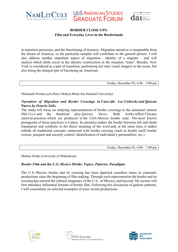



in transition processes, and the functioning of memory. Migration narrative is inseparable from the dream of America, so the particular samples will contribute to the general picture. I will also address another important aspect of migration – identity of a migrant – and will analyze which shifts occur in the identity construction in the situation "trans". Besides, New York is considered as a part of transition, performing not only visual imagery to the scene, but also being the integral part of becoming an American.

Friday, December 03, 4:40 – 5:00 pm

Oleksandr Pronkevych (Petro Mohyla Black Sea National University)

#### *Narratives of Migration and Border Crossings in* **Coco** *(dir. Lee Unkirch) and Quixote*  **Nuevo** *by Octavio Solis.*

The study will focus on studying representations of border crossings in the animated cartoon film *Coco* and the theatrical play *Quixote Nuevo*. Both works reflect Chicano carnival practices which are produced in the USA-Mexico border zone. The most known protagonist of those practices is Calaca. Its presence makes the border between life and death transparent and symbolic in the direct meaning of the word and, at the same time, it makes rethink all traditional concepts connected with border crossing (such as border itself, border crosser, passport and security control, identification of individual's personalities, etc.).

Friday, December 03, 6:00 – 7:00 pm

Markus Heide (University of Hildesheim)

#### *Border Film and the U.S.-Mexico Divide: Topics, Patterns, Paradigms*

The U.S.-Mexico border and its crossing has been depicted countless times in cinematic productions since the beginning of film making. Through such representation the border and its crossing has entered the cultural imaginary of the U.S., of Mexico, and beyond. My lecture will first introduce influential formats of border film. Following this discussion of generic patterns, I will concentrate on selected examples of more recent productions.





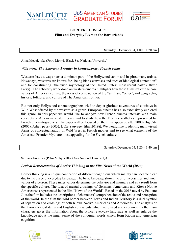





Saturday, December 04,  $1:00 - 1:20$  pm

Alina Mozolevska (Petro Mohyla Black Sea National University)

#### *Wild West: The American Frontier in Contemporary French Films*

Westerns have always been a dominant part of the Hollywood canon and inspired many artists. Nowadays, westerns are known for "being blank canvases and sites of ideological contention" and for constructing "the vivid mythology of the United States' most recent past" (Oliver Farry). The scholarly work done on western cinema highlights how these films reflect the core values of American culture, the ways of construction of the "self" and "other", and geography, history, folklore, and culture of The American frontier.

But not only Hollywood cinematographers tried to depict glorious adventures of cowboys in Wild West offered by the western as a genre. European cinema has also extensively explored this genre. In this paper we would like to analyze how French cinema interests with main concepts of American western genre and to study how the Frontier aesthetics represented by French cinematographers. The paper will be focused on the films appeared after 2000 (Big City (2007), Adieu pays (2003), L'État sauvage (film, 2019)). We would like to identify main visual forms of conceptualization of Wild West in French movies and to see what elements of the American Frontier Myth are most appealing for the French culture.

Saturday, December 04, 1:20 – 1:40 pm

Svitlana Kornieva (Petro Mohyla Black Sea National University)

#### *Lexical Representation of Border Thinking in the Film* **News of the World** *(2020)*

Border thinking is a unique connection of different cognitions which mainly can became clear due to the usage of everyday language. The basic language shows the prior necessities and inner values of a person. These inner values determine the behavior and manners and as a result form the specific culture. The idea of mental crossings of Germans, Americans and Kiowa Native Americans is represented in the film "News of the World". Based on the 2016 novel by Paulette Jiles the film includes the descriptions of characters' comprehension of the realia and perception of the world. In the film the wild border between Texas and Indian Territory is a dual symbol of separation and crossings of both Kiowa Native Americans and Americans. The analysis of the Kiowa lexical items and English equivalents which were used and explained by the main characters gives the information about the typical everyday language as well as enlarge the knowledge about the inner sense of the colloquial words which form Kiowa and American cognition.





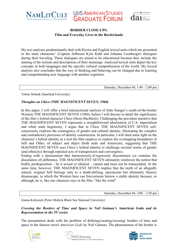





My text analyses predominantly deal with Kiowa and English lexical units which are presented in the main characters' (Captain Jefferson Kyle Kidd and Johanna Leonberger) dialogues during their traveling. These dialogues are aimed to be educational because they include the naming of the notions and descriptions of their meanings. Analysed lexical units depict the key concepts in both languages and the specific cultural comprehension of the world. My lexical analysis also concludes that the way of thinking and behaving can be changed due to learning and comprehending new language with another cognition.

Saturday, December 04, 1:40 – 2:00 pm

Tobias Schank (Saarland University)

## *Thoughts on Chico (THE MAGNIFICENT SEVEN, 1960)*

In this paper, I will offer a brief intersectional analysis of John Sturges's south-of-the-border Western THE MAGNIFICENT SEVEN (1960), before I will discuss in detail the significance of the film's hybrid character Chico (Horst Buchholz). Challenging the prevalent narrative that THE MAGNIFICENT SEVEN represents a straightforward idealization of U.S. imperialism and white male hegemony, I argue that in Chico THE MAGNIFICENT SEVEN selfconsciously explores the contingency of gender and cultural identity, illustrating the complex and contradictory processes of identity construction. In particular, I will shed some light on the character's hybrid identity as a tool the film employs to explore the overlapping boundaries of Self and Other, of subject and abject (both male and American), suggesting that THE MAGNIFICENT SEVEN uses Chico's hybrid identity to challenge societal norms of gender (and ethnicity) through repeated acts of transgression and convergence.

Ending with a denouement that harmoniously-if-rigorously discontinues (or contains the dissolution of) difference, THE MAGNIFICENT SEVEN ultimately reinforces the notion that bodily predisposition – be it sexual or ethnical – cannot and must not be transcended. At the same time, however, THE MAGNIFICENT SEVEN implies that the myth of an allegedly natural, original Self belongs only to a death-defying, spectacular but ultimately illusory dreamscape, in which the Western hero can forevermore bestow a stable identity because, or although, he is, like one character says in the film, "like the wind".

Saturday, December  $04$ ,  $3:00 - 3:20$  pm

Ganna Kolesnyk (Petro Mohyla Black Sea National University)

*Crossing the Borders of Time and Space in Neil Gaiman's* **American Gods** *and its Representation in the TV series.*

The presentation deals with the problem of defining/creating/crossing/ borders of time and space in the famous novel *American Gods* by Neil Gaiman. The phenomenon of the border is





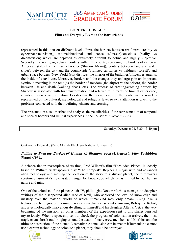





represented in this text on different levels. First, the borders between real/unreal (reality vs cyberspace/television), rational/irrational and conscious/un(sub)conscious (reality vs dream/vision) which are depicted as extremely difficult to define and highly subjective. Secondly, the real geographical borders within the country (crossing the borders of different American states by the main character (Shadow Moon)), borders between land and water (river), between the city and the countryside (civilized territories vs wildness (forest)), and urban space borders (New York) (city districts, the interior of the buildings/offices/restaurants, the inside of a taxi, etc). Moreover, borders and the changes they undergo gain an important symbolic meaning in the text (as the border of freedom (the airport vs the prison), the border between life and death (walking dead), etc). The process of creating/crossing borders by Shadow is associated with his transformation and referred to in terms of liminal experience, rituals of passage and initiation. Besides that the phenomenon of the border in the novel is represented on the cultural, mythological and religious level so extra attention is given to the problems connected with their defining, change and crossing.

The presentation also describes and analyses the peculiarities of the representation of temporal and special borders and liminal experiences in the TV series *American Gods*.

Saturday, December 04, 3:20 – 3:40 pm

Oleksandra Filonenko (Petro Mohyla Black Sea National University)

#### *Failing to Push the Borders of Human Civilisation: Fred M. Wilcox's Film* **Forbidden Planet** *(1956).*

A science-fiction masterpiece of its time, Fred Wilcox's film "Forbidden Planet" is loosely based on William Shakespeare's play "The Tempest". Replacing magic with and advanced alien technology and moving the location of the story to a distant planet, the filmmakers scrutinize humanity's never-sated hunger for knowledge which yet is limited by our human nature and mind.

One of the colonists of the planet Altair IV, philologist Doctor Morbius manages to decipher writings of the disappeared alien race of Krell, who achieved the level of knowledge and mastery over the material world of which humankind may only dream. Using Krell's technology, he upgrades his mind, creates a mechanical servant - amazing Robby the Robot, and a technologically marvellous dwelling for himself and his daughter Altaira. Yet, at the very beginning of the mission, all other members of the expedition sent to this planet perished mysteriously. When a spaceship sent to check the progress of colonisation arrives, the most tragic events break out bringing around the death of many crew members and Morbius and the ultimate destruction of the planet. A remarkable conclusion can be made: if humankind cannot use a certain technology or colonize a planet, they should be destroyed.





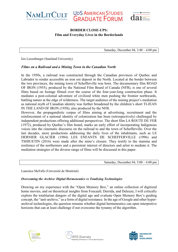





Saturday, December 04, 3:40 – 4:00 pm

Isis Luxenburger (Saarland University)

#### *Films on a Railroad and a Mining Town in the Canadian North*

In the 1950s, a railroad was constructed through the Canadian provinces of Quebec and Labrador to render accessible an iron ore deposit in the North. Located at the border between the two provinces, the mining town of Schefferville was born. The documentary film ROAD OF IRON (1955), produced by the National Film Board of Canada (NFB), is one of several films based on footage filmed over the course of the four-year-long construction phase. It mediates a post-colonial adventure of civilized white men pushing the frontier northwards, battling nature at the edge of wilderness. The target audience of the mining project's mediation as national myth of Canadian identity was further broadened by the children's short TI-JEAN IN THE LAND OF IRON (1958), also produced by the NFB.

However, the propagandistic corpus of films aiming at advertising, recruitment and the reinforcement of a national identity of colonization has been (retrospectively) challenged by independent productions offering additional perspectives. The short film LA ROUTE DU FER (1972), produced by Quebec's film board, marks an early effort of incorporating Indigenous voices into the cinematic discourse on the railroad to and the town of Schefferville. Over the last decades, more productions addressing the daily lives of the inhabitants, such as LE DERNIER GLACIER (1984) LES ENFANTS DE SCHEFFERVILLE (1996) and TSHIUETIN (2016) were made after the mine's closure. They testify to the stamina and resilience of the northerners and a persistent interest of directors and artist to mediate it. The mediation strategies of the diverse range of films will be discussed in this paper.

Saturday, December 04,  $5:00 - 6:00$  pm

Laurence McFalls (Université de Montréal)

#### *Overcoming the Archive: Digital Hermeneutics vs Totalizing Technologies*

Drawing on my experience with the "Open Memory Box," an online collection of digitized home movies, and on theoretical insights from Foucault, Derrida, and Deleuze, I will critically explore the totalitarian dangers of the digital age and evaluate Open Memory Box's guiding concept, the "anti-archive," as a form of digital resistance. In the age of Google and other hyperarchival technologies, the question remains whether digital hermeneutics can open interpretive horizons that can at least challenge if not overcome the tyranny of the algorithm.





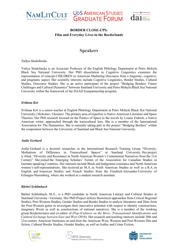





# **Speakers**

#### *Yuliya Stodolinska*

Yuliya Stodolinska is an Associate Professor of the English Philology Department at Petro Mohyla Black Sea National University. Her PhD dissertation in Cognitive Linguistics examines the representation of concept CHILDREN in American Marketing Discourse from a linguistic, cognitive, and pragmatic aspect. Her scientific interests include Cognitive Linguistics, Border Studies, Cultural Studies, Discourse Studies. She is an active participant of the project "Bridging Borders: Future Challenges and Cultural Dynamics" between Saarland University and Petro Mohyla Black Sea National University within the framework of the DAAD Eastpartnership program.

#### *Svitlana Kot*

Svitlana Kot is a senior teacher at English Philology Department at Petro Mohyla Black Sea National University ( Mykolaiv, Ukraine). The primary area of expertise is Native American Literature and Space Theories. Her PhD research focused on the Poetics of Space in the novels by Louise Erdrich, a Native American writer, approached through the transcultural lens. She is a member of the International Association for The Humanities. She is currently taking part in the project "Bridging Borders" within the cooperation between the University of Saarland and Black Sea National University.

#### *Atalie Gerhard*

Atalie Gerhard is a doctoral researcher in the International Research Training Group "Diversity: Mediations of Difference in Transcultural Spaces" at Saarland University. Her project is titled, "Diversity and Resistance in North American Women's Containment Narratives from the 21st Century". She joined the Emerging Scholars' Forum of the Association for Canadian Studies in German-speaking Countries. Her interests include Black and Indigenous resistance and North American women's self-representations. She received an M.A. in North American Studies as well as a B.A. in English and American Studies and French Studies from the Friedrich-Alexander-University of Erlangen-Nuremberg, where she worked as a student research assistant.

#### *Bärbel Schlimbach*

Bärbel Schlimbach, M.A., is a PhD candidate in North American Literary and Cultural Studies at Saarland University / Germany. Her PhD-Project utilizes theoretical approaches from Critical Regional Studies, Post-Western Studies, Gender Studies and Border Studies to analyze literatures and films from the Post-Western genre to investigate their innovative potential with respect to identity constructions, imaginary Wests as well as constructions of national narratives. She is a member of the working group Bordertextures and co-editor of *(Pop-)Cultures on the Move: Transnational Identifications and Cultural Exchange between East and West* (2018). Her research and teaching interests include 20th and 21st century American literatures on and from the American West, Western and Post-Western film and fiction, Cultural Border Studies, Gender Studies, as well as Gothic and Crime Fiction.





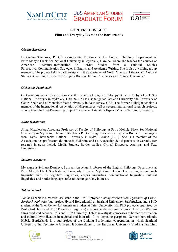

**UDS AMERICAN STUDIES GRADUATE FORUM** 



#### **BORDER CLOSE-UPS: Film and Everyday Lives in the Borderlands**

#### *Oksana Starshova*

Dr. Oksana Starshova, PhD, is an Associate Professor at the English Philology Department of Petro Mohyla Black Sea National University in Mykolaiv, Ukraine, where she teaches the courses of American Literature, Introduction to Border Studies from a Cultural Studies Perspective, Communication Strategies in English and Academic Writing. She is also a working group member of the project held in partnership with the department of North American Literary and Cultural Studies at Saarland University "Bridging Borders: Future Challenges and Cultural Dynamics".

#### *Oleksandr Pronkevich*

Oleksanr Pronkevich is a Professor at the Faculty of English Philology at Petro Mohyla Black Sea National University in Mykolaiv, Ukraine. He has also taught at Saarland University, the University of Cádiz, Spain and at Montclair State University in New Jersey, USA. The former Fulbright scholar is member of the International Association of Hispanists as well as several international research projects, among them the East-Partnership project "Trauma en Literatura Espanola" with Saarland University.

#### *Alina Mozolevska*

Alina Mozolevska, Associate Professor of Faculty of Philology at Petro Mohyla Black Sea National University in Mykolaiv, Ukraine. She has a PhD in Linguistics with a major in Romance Languages from Taras Shevchenko National University in Kyiv, Ukraine (2014). She is a member of the Association des professeurs de Français d'Ukraine and La Asociación de Hispanistas de Ucrania. Her research interests include Media Studies, Border studies, Critical Discourse Analysis, and Text Linguistics.

#### *Svitlana Kornieva*

My name is Svitlana Kornieva. I am an Associate Professor of the English Philology Department at Petro Mohyla Black Sea National University. I live in Mykolaiv, Ukraine. I am a linguist and such linguistic areas as cognitive linguistics, corpus linguistics, computational linguistics, cultural linguistics, and border languages refer to the range of my interests.

#### *Tobias Schank*

Tobias Schank is a research assistant in the BMBF project *Linking Borderlands: Dynamics of Cross-Border Peripheries* (sub-project Hybrid Borderlands) at Saarland University, Saarbrücken, and a PhD student at the Trier Center for American Studies at Trier University. His PhD project (supervised by Prof. Gerd Hurm and JProf. Franziska Bergmann) explores gender representations in American Western films produced between 1903 and 1969. Currently, Tobias investigates processes of border construction and cultural hybridization in regional and industrial films depicting peripheral German borderlands. Hybrid Borderlands is a sub-project of the Linking Borderlands cooperation, in which Saarland University, the Technische Universität Kaiserslautern, the European University Viadrina Frankfurt